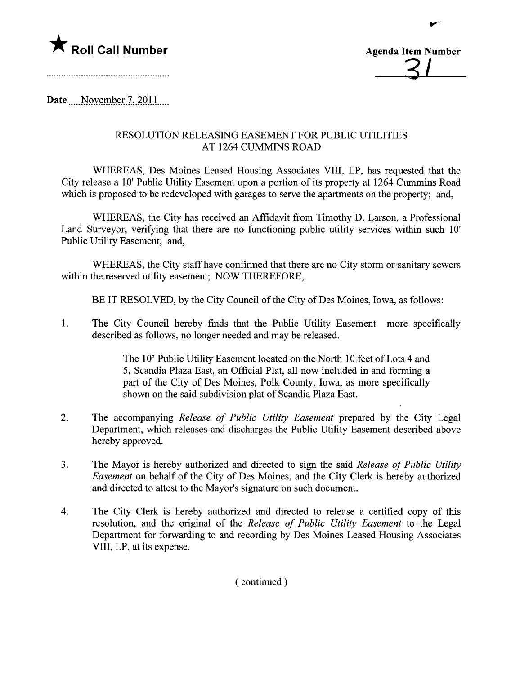



.,~

Date November 7, 2011

## RESOLUTION RELEASING EASEMENT FOR PUBLIC UTILITIES AT 1264 CUMMINS ROAD

WHEREAS, Des Moines Leased Housing Associates VIII, LP, has requested that the City release a 10' Public Utility Easement upon a portion of its property at 1264 Cummins Road which is proposed to be redeveloped with garages to serve the apartments on the property; and,

WHEREAS, the City has received an Affidavit from Timothy D. Larson, a Professional Land Surveyor, verifying that there are no functioning public utility services within such 10' Public Utility Easement; and,

WHEREAS, the City staff have confirmed that there are no City storm or sanitary sewers within the reserved utility easement; NOW THEREFORE,

BE IT RESOLVED, by the City Council of the City of Des Moines, Iowa, as follows:

1. The City Council hereby finds that the Public Utility Easement more specifically described as follows, no longer needed and may be released.

> The 10' Public Utility Easement located on the North 10 feet of Lots 4 and 5, Scandia Plaza East, an Official Plat, all now included in and forming a part of the City of Des Moines, Polk County, Iowa, as more specifically shown on the said subdivision plat of Scandia Plaza East.

- 2. The accompanying Release of Public Utility Easement prepared by the City Legal Department, which releases and discharges the Public Utility Easement described above hereby approved.
- 3. The Mayor is hereby authorized and directed to sign the said Release of Public Utility Easement on behalf of the City of Des Moines, and the City Clerk is hereby authorized and directed to attest to the Mayor's signature on such document.
- 4. The City Clerk is hereby authorized and directed to release a certified copy of this resolution, and the original of the Release of Public Utility Easement to the Legal Department for forwarding to and recording by Des Moines Leased Housing Associates VIII, LP, at its expense.

( continued)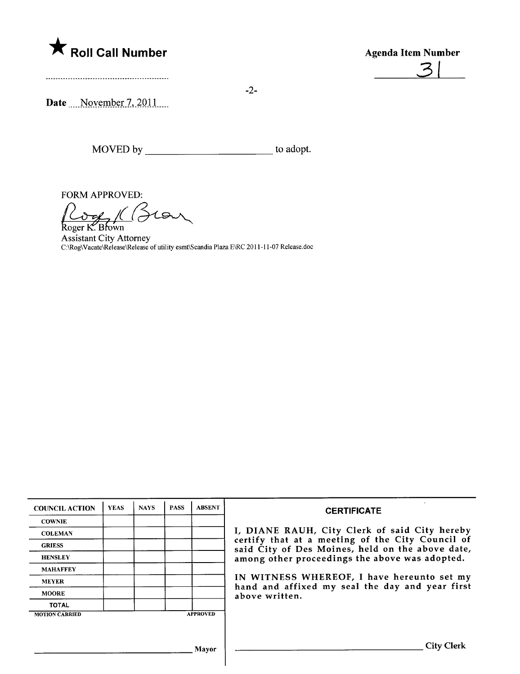

-2-

Date November 7, 2011

MOVED by \_\_\_\_\_\_\_\_\_\_\_\_\_\_\_\_\_\_\_\_\_\_\_\_\_\_\_\_\_\_\_\_\_\_ to adopt.

FORM APPROVED:<br>
Roger K. Brown<br>
Assistant City Attorney  $tan$ 

C:\Rog\Vacate\Release\Release of utility esmt\Scandia Plaza E\RC 20 i i - i 1-07 Release.doc

| <b>COUNCIL ACTION</b> | <b>YEAS</b> | <b>NAYS</b> | <b>PASS</b> | <b>ABSENT</b>   | <b>CERTIFICATE</b>                                                                                                                                                                                                                                                                                                         |
|-----------------------|-------------|-------------|-------------|-----------------|----------------------------------------------------------------------------------------------------------------------------------------------------------------------------------------------------------------------------------------------------------------------------------------------------------------------------|
| <b>COWNIE</b>         |             |             |             |                 | I, DIANE RAUH, City Clerk of said City hereby<br>certify that at a meeting of the City Council of<br>said City of Des Moines, held on the above date,<br>among other proceedings the above was adopted.<br>IN WITNESS WHEREOF, I have hereunto set my<br>hand and affixed my seal the day and year first<br>above written. |
| <b>COLEMAN</b>        |             |             |             |                 |                                                                                                                                                                                                                                                                                                                            |
| <b>GRIESS</b>         |             |             |             |                 |                                                                                                                                                                                                                                                                                                                            |
| <b>HENSLEY</b>        |             |             |             |                 |                                                                                                                                                                                                                                                                                                                            |
| <b>MAHAFFEY</b>       |             |             |             |                 |                                                                                                                                                                                                                                                                                                                            |
| <b>MEYER</b>          |             |             |             |                 |                                                                                                                                                                                                                                                                                                                            |
| <b>MOORE</b>          |             |             |             |                 |                                                                                                                                                                                                                                                                                                                            |
| <b>TOTAL</b>          |             |             |             |                 |                                                                                                                                                                                                                                                                                                                            |
| <b>MOTION CARRIED</b> |             |             |             | <b>APPROVED</b> |                                                                                                                                                                                                                                                                                                                            |
|                       |             |             |             |                 |                                                                                                                                                                                                                                                                                                                            |
|                       |             |             |             | Mayor           | <b>City Clerk</b>                                                                                                                                                                                                                                                                                                          |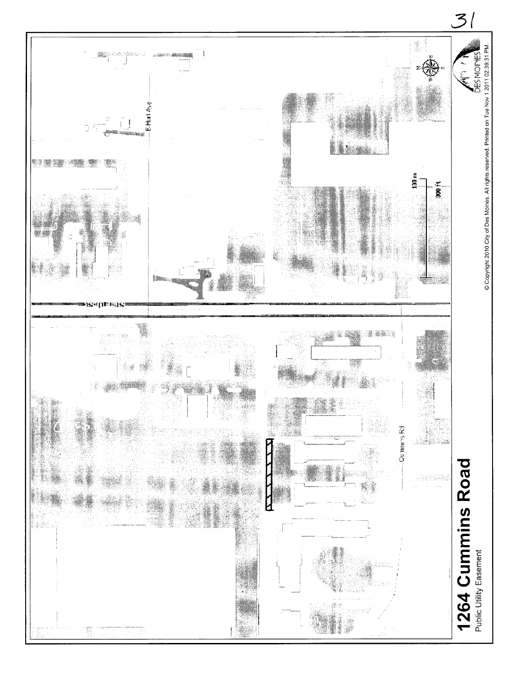